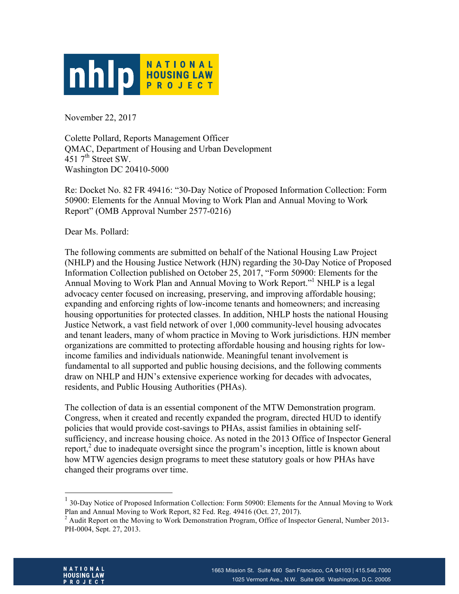

November 22, 2017

Colette Pollard, Reports Management Officer QMAC, Department of Housing and Urban Development 451  $7<sup>th</sup>$  Street SW. Washington DC 20410-5000

Re: Docket No. 82 FR 49416: "30-Day Notice of Proposed Information Collection: Form 50900: Elements for the Annual Moving to Work Plan and Annual Moving to Work Report" (OMB Approval Number 2577-0216)

Dear Ms. Pollard:

The following comments are submitted on behalf of the National Housing Law Project (NHLP) and the Housing Justice Network (HJN) regarding the 30-Day Notice of Proposed Information Collection published on October 25, 2017, "Form 50900: Elements for the Annual Moving to Work Plan and Annual Moving to Work Report."<sup>1</sup> NHLP is a legal advocacy center focused on increasing, preserving, and improving affordable housing; expanding and enforcing rights of low-income tenants and homeowners; and increasing housing opportunities for protected classes. In addition, NHLP hosts the national Housing Justice Network, a vast field network of over 1,000 community-level housing advocates and tenant leaders, many of whom practice in Moving to Work jurisdictions. HJN member organizations are committed to protecting affordable housing and housing rights for lowincome families and individuals nationwide. Meaningful tenant involvement is fundamental to all supported and public housing decisions, and the following comments draw on NHLP and HJN's extensive experience working for decades with advocates, residents, and Public Housing Authorities (PHAs).

The collection of data is an essential component of the MTW Demonstration program. Congress, when it created and recently expanded the program, directed HUD to identify policies that would provide cost-savings to PHAs, assist families in obtaining selfsufficiency, and increase housing choice. As noted in the 2013 Office of Inspector General report, $2$  due to inadequate oversight since the program's inception, little is known about how MTW agencies design programs to meet these statutory goals or how PHAs have changed their programs over time.

<sup>&</sup>lt;sup>2</sup> Audit Report on the Moving to Work Demonstration Program, Office of Inspector General, Number 2013-PH-0004, Sept. 27, 2013.



<sup>&</sup>lt;sup>1</sup> 30-Day Notice of Proposed Information Collection: Form 50900: Elements for the Annual Moving to Work Plan and Annual Moving to Work Report, 82 Fed. Reg. 49416 (Oct. 27, 2017).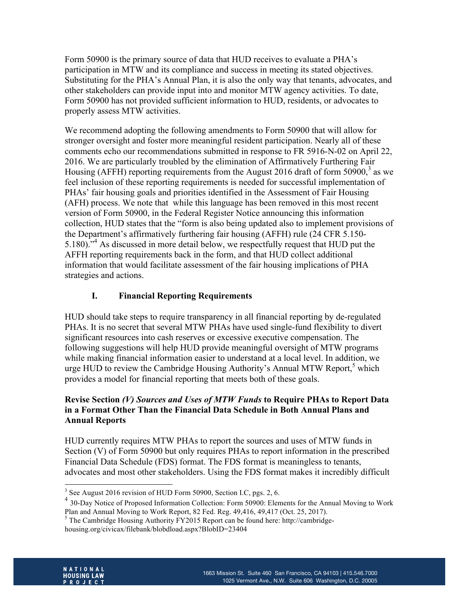Form 50900 is the primary source of data that HUD receives to evaluate a PHA's participation in MTW and its compliance and success in meeting its stated objectives. Substituting for the PHA's Annual Plan, it is also the only way that tenants, advocates, and other stakeholders can provide input into and monitor MTW agency activities. To date, Form 50900 has not provided sufficient information to HUD, residents, or advocates to properly assess MTW activities.

We recommend adopting the following amendments to Form 50900 that will allow for stronger oversight and foster more meaningful resident participation. Nearly all of these comments echo our recommendations submitted in response to FR 5916-N-02 on April 22, 2016. We are particularly troubled by the elimination of Affirmatively Furthering Fair Housing (AFFH) reporting requirements from the August 2016 draft of form 50900,<sup>3</sup> as we feel inclusion of these reporting requirements is needed for successful implementation of PHAs' fair housing goals and priorities identified in the Assessment of Fair Housing (AFH) process. We note that while this language has been removed in this most recent version of Form 50900, in the Federal Register Notice announcing this information collection, HUD states that the "form is also being updated also to implement provisions of the Department's affirmatively furthering fair housing (AFFH) rule (24 CFR 5.150- 5.180)."<sup>4</sup> As discussed in more detail below, we respectfully request that HUD put the AFFH reporting requirements back in the form, and that HUD collect additional information that would facilitate assessment of the fair housing implications of PHA strategies and actions.

# **I. Financial Reporting Requirements**

HUD should take steps to require transparency in all financial reporting by de-regulated PHAs. It is no secret that several MTW PHAs have used single-fund flexibility to divert significant resources into cash reserves or excessive executive compensation. The following suggestions will help HUD provide meaningful oversight of MTW programs while making financial information easier to understand at a local level. In addition, we urge HUD to review the Cambridge Housing Authority's Annual MTW Report,<sup>5</sup> which provides a model for financial reporting that meets both of these goals.

#### **Revise Section** *(V) Sources and Uses of MTW Funds* **to Require PHAs to Report Data in a Format Other Than the Financial Data Schedule in Both Annual Plans and Annual Reports**

HUD currently requires MTW PHAs to report the sources and uses of MTW funds in Section (V) of Form 50900 but only requires PHAs to report information in the prescribed Financial Data Schedule (FDS) format. The FDS format is meaningless to tenants, advocates and most other stakeholders. Using the FDS format makes it incredibly difficult



<sup>&</sup>lt;sup>3</sup> See August 2016 revision of HUD Form 50900, Section I.C, pgs. 2, 6.

<sup>4</sup> 30-Day Notice of Proposed Information Collection: Form 50900: Elements for the Annual Moving to Work Plan and Annual Moving to Work Report, 82 Fed. Reg. 49,416, 49,417 (Oct. 25, 2017).

<sup>5</sup> The Cambridge Housing Authority FY2015 Report can be found here: http://cambridgehousing.org/civicax/filebank/blobdload.aspx?BlobID=23404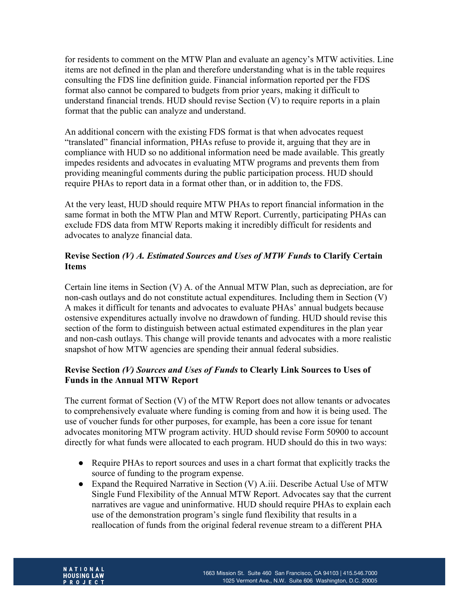for residents to comment on the MTW Plan and evaluate an agency's MTW activities. Line items are not defined in the plan and therefore understanding what is in the table requires consulting the FDS line definition guide. Financial information reported per the FDS format also cannot be compared to budgets from prior years, making it difficult to understand financial trends. HUD should revise Section (V) to require reports in a plain format that the public can analyze and understand.

An additional concern with the existing FDS format is that when advocates request "translated" financial information, PHAs refuse to provide it, arguing that they are in compliance with HUD so no additional information need be made available. This greatly impedes residents and advocates in evaluating MTW programs and prevents them from providing meaningful comments during the public participation process. HUD should require PHAs to report data in a format other than, or in addition to, the FDS.

At the very least, HUD should require MTW PHAs to report financial information in the same format in both the MTW Plan and MTW Report. Currently, participating PHAs can exclude FDS data from MTW Reports making it incredibly difficult for residents and advocates to analyze financial data.

## **Revise Section** *(V) A. Estimated Sources and Uses of MTW Funds* **to Clarify Certain Items**

Certain line items in Section (V) A. of the Annual MTW Plan, such as depreciation, are for non-cash outlays and do not constitute actual expenditures. Including them in Section (V) A makes it difficult for tenants and advocates to evaluate PHAs' annual budgets because ostensive expenditures actually involve no drawdown of funding. HUD should revise this section of the form to distinguish between actual estimated expenditures in the plan year and non-cash outlays. This change will provide tenants and advocates with a more realistic snapshot of how MTW agencies are spending their annual federal subsidies.

#### **Revise Section** *(V) Sources and Uses of Funds* **to Clearly Link Sources to Uses of Funds in the Annual MTW Report**

The current format of Section (V) of the MTW Report does not allow tenants or advocates to comprehensively evaluate where funding is coming from and how it is being used. The use of voucher funds for other purposes, for example, has been a core issue for tenant advocates monitoring MTW program activity. HUD should revise Form 50900 to account directly for what funds were allocated to each program. HUD should do this in two ways:

- Require PHAs to report sources and uses in a chart format that explicitly tracks the source of funding to the program expense.
- Expand the Required Narrative in Section (V) A.iii. Describe Actual Use of MTW Single Fund Flexibility of the Annual MTW Report. Advocates say that the current narratives are vague and uninformative. HUD should require PHAs to explain each use of the demonstration program's single fund flexibility that results in a reallocation of funds from the original federal revenue stream to a different PHA

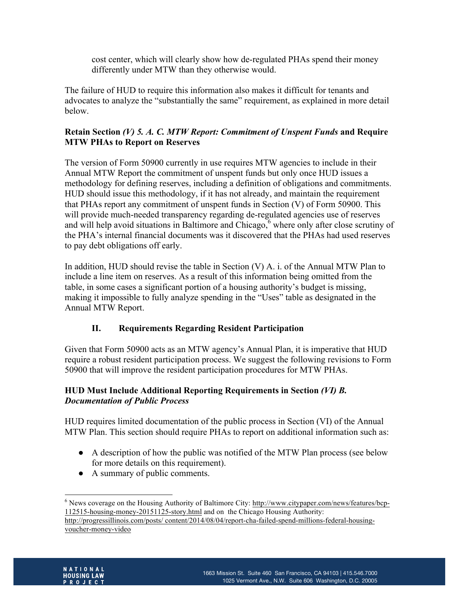cost center, which will clearly show how de-regulated PHAs spend their money differently under MTW than they otherwise would.

The failure of HUD to require this information also makes it difficult for tenants and advocates to analyze the "substantially the same" requirement, as explained in more detail below.

## **Retain Section** *(V) 5. A. C. MTW Report: Commitment of Unspent Funds* **and Require MTW PHAs to Report on Reserves**

The version of Form 50900 currently in use requires MTW agencies to include in their Annual MTW Report the commitment of unspent funds but only once HUD issues a methodology for defining reserves, including a definition of obligations and commitments. HUD should issue this methodology, if it has not already, and maintain the requirement that PHAs report any commitment of unspent funds in Section (V) of Form 50900. This will provide much-needed transparency regarding de-regulated agencies use of reserves and will help avoid situations in Baltimore and Chicago,<sup>6</sup> where only after close scrutiny of the PHA's internal financial documents was it discovered that the PHAs had used reserves to pay debt obligations off early.

In addition, HUD should revise the table in Section (V) A. i. of the Annual MTW Plan to include a line item on reserves. As a result of this information being omitted from the table, in some cases a significant portion of a housing authority's budget is missing, making it impossible to fully analyze spending in the "Uses" table as designated in the Annual MTW Report.

# **II. Requirements Regarding Resident Participation**

Given that Form 50900 acts as an MTW agency's Annual Plan, it is imperative that HUD require a robust resident participation process. We suggest the following revisions to Form 50900 that will improve the resident participation procedures for MTW PHAs.

## **HUD Must Include Additional Reporting Requirements in Section** *(VI) B. Documentation of Public Process*

HUD requires limited documentation of the public process in Section (VI) of the Annual MTW Plan. This section should require PHAs to report on additional information such as:

- A description of how the public was notified of the MTW Plan process (see below for more details on this requirement).
- A summary of public comments.



<sup>&</sup>lt;sup>6</sup> News coverage on the Housing Authority of Baltimore City: http://www.citypaper.com/news/features/bcp-112515-housing-money-20151125-story.html and on the Chicago Housing Authority:

http://progressillinois.com/posts/ content/2014/08/04/report-cha-failed-spend-millions-federal-housingvoucher-money-video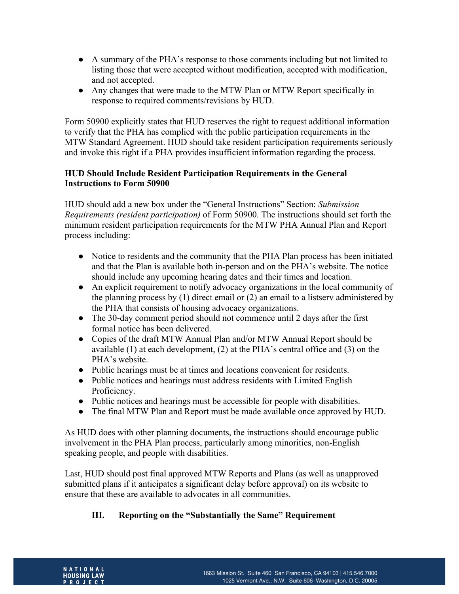- A summary of the PHA's response to those comments including but not limited to listing those that were accepted without modification, accepted with modification, and not accepted.
- Any changes that were made to the MTW Plan or MTW Report specifically in response to required comments/revisions by HUD.

Form 50900 explicitly states that HUD reserves the right to request additional information to verify that the PHA has complied with the public participation requirements in the MTW Standard Agreement. HUD should take resident participation requirements seriously and invoke this right if a PHA provides insufficient information regarding the process.

#### **HUD Should Include Resident Participation Requirements in the General Instructions to Form 50900**

HUD should add a new box under the "General Instructions" Section: *Submission Requirements (resident participation)* of Form 50900*.* The instructions should set forth the minimum resident participation requirements for the MTW PHA Annual Plan and Report process including:

- Notice to residents and the community that the PHA Plan process has been initiated and that the Plan is available both in-person and on the PHA's website. The notice should include any upcoming hearing dates and their times and location.
- An explicit requirement to notify advocacy organizations in the local community of the planning process by  $(1)$  direct email or  $(2)$  an email to a listserv administered by the PHA that consists of housing advocacy organizations.
- The 30-day comment period should not commence until 2 days after the first formal notice has been delivered.
- Copies of the draft MTW Annual Plan and/or MTW Annual Report should be available (1) at each development, (2) at the PHA's central office and (3) on the PHA's website.
- Public hearings must be at times and locations convenient for residents.
- Public notices and hearings must address residents with Limited English Proficiency.
- Public notices and hearings must be accessible for people with disabilities.
- The final MTW Plan and Report must be made available once approved by HUD.

As HUD does with other planning documents, the instructions should encourage public involvement in the PHA Plan process, particularly among minorities, non-English speaking people, and people with disabilities.

Last, HUD should post final approved MTW Reports and Plans (as well as unapproved submitted plans if it anticipates a significant delay before approval) on its website to ensure that these are available to advocates in all communities.

# **III. Reporting on the "Substantially the Same" Requirement**

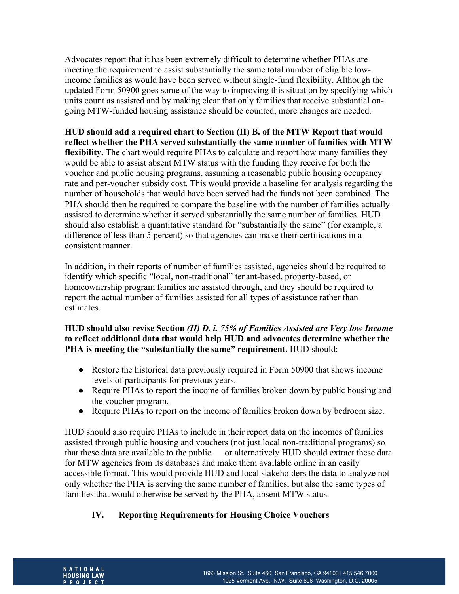Advocates report that it has been extremely difficult to determine whether PHAs are meeting the requirement to assist substantially the same total number of eligible lowincome families as would have been served without single-fund flexibility. Although the updated Form 50900 goes some of the way to improving this situation by specifying which units count as assisted and by making clear that only families that receive substantial ongoing MTW-funded housing assistance should be counted, more changes are needed.

**HUD should add a required chart to Section (II) B. of the MTW Report that would reflect whether the PHA served substantially the same number of families with MTW flexibility.** The chart would require PHAs to calculate and report how many families they would be able to assist absent MTW status with the funding they receive for both the voucher and public housing programs, assuming a reasonable public housing occupancy rate and per-voucher subsidy cost. This would provide a baseline for analysis regarding the number of households that would have been served had the funds not been combined. The PHA should then be required to compare the baseline with the number of families actually assisted to determine whether it served substantially the same number of families. HUD should also establish a quantitative standard for "substantially the same" (for example, a difference of less than 5 percent) so that agencies can make their certifications in a consistent manner.

In addition, in their reports of number of families assisted, agencies should be required to identify which specific "local, non-traditional" tenant-based, property-based, or homeownership program families are assisted through, and they should be required to report the actual number of families assisted for all types of assistance rather than estimates.

#### **HUD should also revise Section** *(II) D. i. 75% of Families Assisted are Very low Income* **to reflect additional data that would help HUD and advocates determine whether the PHA is meeting the "substantially the same" requirement.** HUD should:

- Restore the historical data previously required in Form 50900 that shows income levels of participants for previous years.
- Require PHAs to report the income of families broken down by public housing and the voucher program.
- Require PHAs to report on the income of families broken down by bedroom size.

HUD should also require PHAs to include in their report data on the incomes of families assisted through public housing and vouchers (not just local non-traditional programs) so that these data are available to the public — or alternatively HUD should extract these data for MTW agencies from its databases and make them available online in an easily accessible format. This would provide HUD and local stakeholders the data to analyze not only whether the PHA is serving the same number of families, but also the same types of families that would otherwise be served by the PHA, absent MTW status.

# **IV. Reporting Requirements for Housing Choice Vouchers**

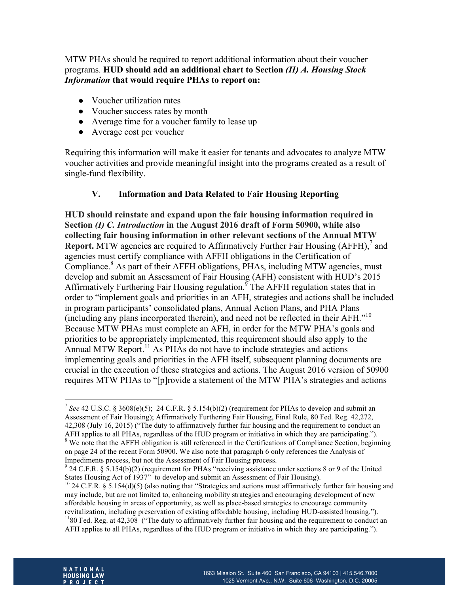MTW PHAs should be required to report additional information about their voucher programs. **HUD should add an additional chart to Section** *(II) A. Housing Stock Information* **that would require PHAs to report on:**

- Voucher utilization rates
- Voucher success rates by month
- Average time for a voucher family to lease up
- Average cost per voucher

Requiring this information will make it easier for tenants and advocates to analyze MTW voucher activities and provide meaningful insight into the programs created as a result of single-fund flexibility.

#### **V. Information and Data Related to Fair Housing Reporting**

**HUD should reinstate and expand upon the fair housing information required in Section** *(I) C. Introduction* **in the August 2016 draft of Form 50900, while also collecting fair housing information in other relevant sections of the Annual MTW Report.** MTW agencies are required to Affirmatively Further Fair Housing (AFFH),<sup>7</sup> and agencies must certify compliance with AFFH obligations in the Certification of Compliance. $8$  As part of their AFFH obligations, PHAs, including MTW agencies, must develop and submit an Assessment of Fair Housing (AFH) consistent with HUD's 2015 Affirmatively Furthering Fair Housing regulation.<sup>9</sup> The AFFH regulation states that in order to "implement goals and priorities in an AFH, strategies and actions shall be included in program participants' consolidated plans, Annual Action Plans, and PHA Plans (including any plans incorporated therein), and need not be reflected in their AFH."<sup>10</sup> Because MTW PHAs must complete an AFH, in order for the MTW PHA's goals and priorities to be appropriately implemented, this requirement should also apply to the Annual MTW Report.<sup>11</sup> As PHAs do not have to include strategies and actions implementing goals and priorities in the AFH itself, subsequent planning documents are crucial in the execution of these strategies and actions. The August 2016 version of 50900 requires MTW PHAs to "[p]rovide a statement of the MTW PHA's strategies and actions

AFH applies to all PHAs, regardless of the HUD program or initiative in which they are participating.").



 <sup>7</sup> *See* 42 U.S.C. § 3608(e)(5); 24 C.F.R. § 5.154(b)(2) (requirement for PHAs to develop and submit an Assessment of Fair Housing); Affirmatively Furthering Fair Housing, Final Rule, 80 Fed. Reg. 42,272, 42,308 (July 16, 2015) ("The duty to affirmatively further fair housing and the requirement to conduct an AFH applies to all PHAs, regardless of the HUD program or initiative in which they are participating."). <sup>8</sup> We note that the AFFH obligation is still referenced in the Certifications of Compliance Section, beginning on page 24 of the recent Form 50900. We also note that paragraph 6 only references the Analysis of Impediments process, but not the Assessment of Fair Housing process.

<sup>9</sup> 24 C.F.R. § 5.154(b)(2) (requirement for PHAs "receiving assistance under sections 8 or 9 of the United

States Housing Act of 1937" to develop and submit an Assessment of Fair Housing).<br><sup>10</sup> 24 C.F.R. § 5.154(d)(5) (also noting that "Strategies and actions must affirmatively further fair housing and may include, but are not limited to, enhancing mobility strategies and encouraging development of new affordable housing in areas of opportunity, as well as place-based strategies to encourage community revitalization, including preservation of existing affordable housing, including HUD-assisted housing."). <sup>11</sup>80 Fed. Reg. at 42,308 ("The duty to affirmatively further fair housing and the requirement to conduct an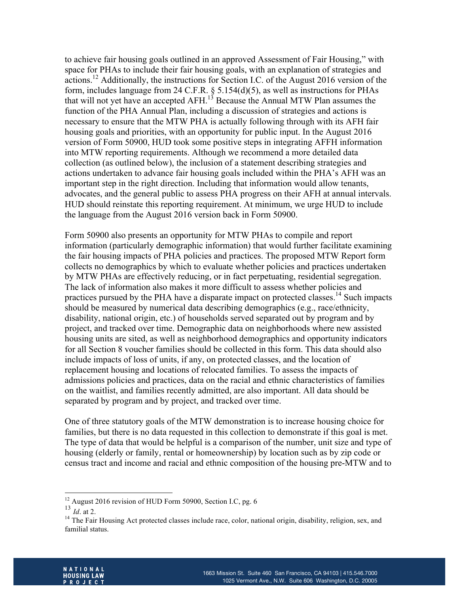to achieve fair housing goals outlined in an approved Assessment of Fair Housing," with space for PHAs to include their fair housing goals, with an explanation of strategies and actions.12 Additionally, the instructions for Section I.C. of the August 2016 version of the form, includes language from 24 C.F.R. § 5.154(d)(5), as well as instructions for PHAs that will not yet have an accepted  $AFH<sup>13</sup>$  Because the Annual MTW Plan assumes the function of the PHA Annual Plan, including a discussion of strategies and actions is necessary to ensure that the MTW PHA is actually following through with its AFH fair housing goals and priorities, with an opportunity for public input. In the August 2016 version of Form 50900, HUD took some positive steps in integrating AFFH information into MTW reporting requirements. Although we recommend a more detailed data collection (as outlined below), the inclusion of a statement describing strategies and actions undertaken to advance fair housing goals included within the PHA's AFH was an important step in the right direction. Including that information would allow tenants, advocates, and the general public to assess PHA progress on their AFH at annual intervals. HUD should reinstate this reporting requirement. At minimum, we urge HUD to include the language from the August 2016 version back in Form 50900.

Form 50900 also presents an opportunity for MTW PHAs to compile and report information (particularly demographic information) that would further facilitate examining the fair housing impacts of PHA policies and practices. The proposed MTW Report form collects no demographics by which to evaluate whether policies and practices undertaken by MTW PHAs are effectively reducing, or in fact perpetuating, residential segregation. The lack of information also makes it more difficult to assess whether policies and practices pursued by the PHA have a disparate impact on protected classes.<sup>14</sup> Such impacts should be measured by numerical data describing demographics (e.g., race/ethnicity, disability, national origin, etc.) of households served separated out by program and by project, and tracked over time. Demographic data on neighborhoods where new assisted housing units are sited, as well as neighborhood demographics and opportunity indicators for all Section 8 voucher families should be collected in this form. This data should also include impacts of loss of units, if any, on protected classes, and the location of replacement housing and locations of relocated families. To assess the impacts of admissions policies and practices, data on the racial and ethnic characteristics of families on the waitlist, and families recently admitted, are also important. All data should be separated by program and by project, and tracked over time.

One of three statutory goals of the MTW demonstration is to increase housing choice for families, but there is no data requested in this collection to demonstrate if this goal is met. The type of data that would be helpful is a comparison of the number, unit size and type of housing (elderly or family, rental or homeownership) by location such as by zip code or census tract and income and racial and ethnic composition of the housing pre-MTW and to



<sup>&</sup>lt;sup>12</sup> August 2016 revision of HUD Form 50900, Section I.C, pg. 6

<sup>13</sup> *Id*. at 2.

<sup>&</sup>lt;sup>14</sup> The Fair Housing Act protected classes include race, color, national origin, disability, religion, sex, and familial status.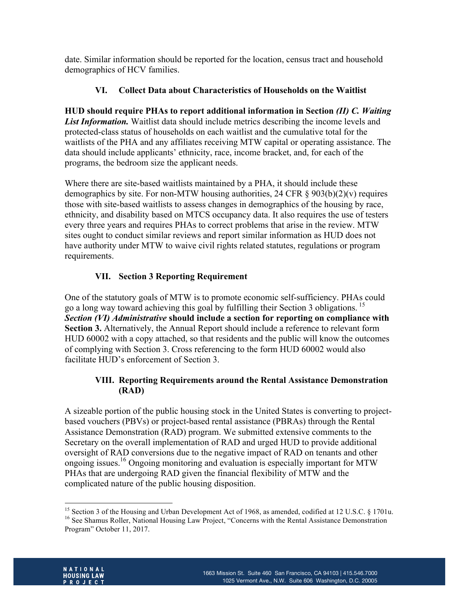date. Similar information should be reported for the location, census tract and household demographics of HCV families.

## **VI. Collect Data about Characteristics of Households on the Waitlist**

**HUD should require PHAs to report additional information in Section** *(II) C. Waiting List Information.* Waitlist data should include metrics describing the income levels and protected-class status of households on each waitlist and the cumulative total for the waitlists of the PHA and any affiliates receiving MTW capital or operating assistance. The data should include applicants' ethnicity, race, income bracket, and, for each of the programs, the bedroom size the applicant needs.

Where there are site-based waitlists maintained by a PHA, it should include these demographics by site. For non-MTW housing authorities, 24 CFR  $\S$  903(b)(2)(v) requires those with site-based waitlists to assess changes in demographics of the housing by race, ethnicity, and disability based on MTCS occupancy data. It also requires the use of testers every three years and requires PHAs to correct problems that arise in the review. MTW sites ought to conduct similar reviews and report similar information as HUD does not have authority under MTW to waive civil rights related statutes, regulations or program requirements.

# **VII. Section 3 Reporting Requirement**

One of the statutory goals of MTW is to promote economic self-sufficiency. PHAs could go a long way toward achieving this goal by fulfilling their Section 3 obligations. <sup>15</sup> *Section (VI) Administrative* **should include a section for reporting on compliance with Section 3.** Alternatively, the Annual Report should include a reference to relevant form HUD 60002 with a copy attached, so that residents and the public will know the outcomes of complying with Section 3. Cross referencing to the form HUD 60002 would also facilitate HUD's enforcement of Section 3.

## **VIII. Reporting Requirements around the Rental Assistance Demonstration (RAD)**

A sizeable portion of the public housing stock in the United States is converting to projectbased vouchers (PBVs) or project-based rental assistance (PBRAs) through the Rental Assistance Demonstration (RAD) program. We submitted extensive comments to the Secretary on the overall implementation of RAD and urged HUD to provide additional oversight of RAD conversions due to the negative impact of RAD on tenants and other ongoing issues. <sup>16</sup> Ongoing monitoring and evaluation is especially important for MTW PHAs that are undergoing RAD given the financial flexibility of MTW and the complicated nature of the public housing disposition.



<sup>&</sup>lt;sup>15</sup> Section 3 of the Housing and Urban Development Act of 1968, as amended, codified at 12 U.S.C. § 1701u.<br><sup>16</sup> See Shamus Roller, National Housing Law Project, "Concerns with the Rental Assistance Demonstration

Program" October 11, 2017.